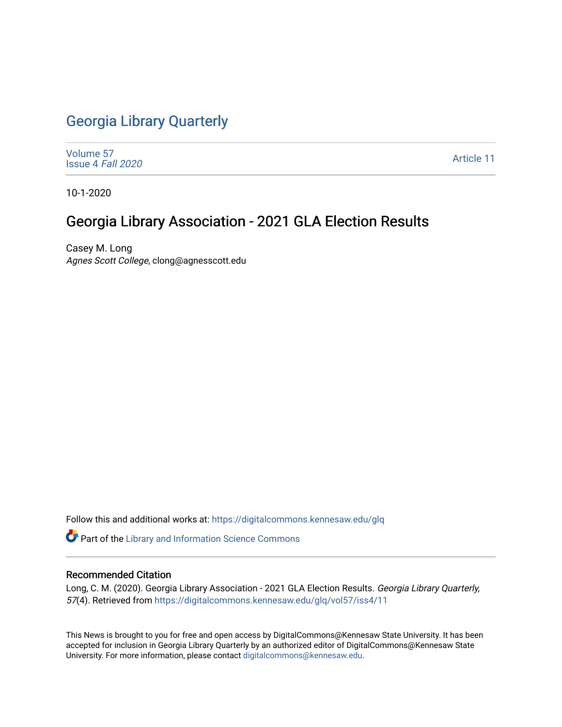# [Georgia Library Quarterly](https://digitalcommons.kennesaw.edu/glq)

[Volume 57](https://digitalcommons.kennesaw.edu/glq/vol57) [Issue 4](https://digitalcommons.kennesaw.edu/glq/vol57/iss4) Fall 2020

[Article 11](https://digitalcommons.kennesaw.edu/glq/vol57/iss4/11) 

10-1-2020

# Georgia Library Association - 2021 GLA Election Results

Casey M. Long Agnes Scott College, clong@agnesscott.edu

Follow this and additional works at: [https://digitalcommons.kennesaw.edu/glq](https://digitalcommons.kennesaw.edu/glq?utm_source=digitalcommons.kennesaw.edu%2Fglq%2Fvol57%2Fiss4%2F11&utm_medium=PDF&utm_campaign=PDFCoverPages) 

Part of the [Library and Information Science Commons](http://network.bepress.com/hgg/discipline/1018?utm_source=digitalcommons.kennesaw.edu%2Fglq%2Fvol57%2Fiss4%2F11&utm_medium=PDF&utm_campaign=PDFCoverPages) 

#### Recommended Citation

Long, C. M. (2020). Georgia Library Association - 2021 GLA Election Results. Georgia Library Quarterly, 57(4). Retrieved from [https://digitalcommons.kennesaw.edu/glq/vol57/iss4/11](https://digitalcommons.kennesaw.edu/glq/vol57/iss4/11?utm_source=digitalcommons.kennesaw.edu%2Fglq%2Fvol57%2Fiss4%2F11&utm_medium=PDF&utm_campaign=PDFCoverPages) 

This News is brought to you for free and open access by DigitalCommons@Kennesaw State University. It has been accepted for inclusion in Georgia Library Quarterly by an authorized editor of DigitalCommons@Kennesaw State University. For more information, please contact [digitalcommons@kennesaw.edu.](mailto:digitalcommons@kennesaw.edu)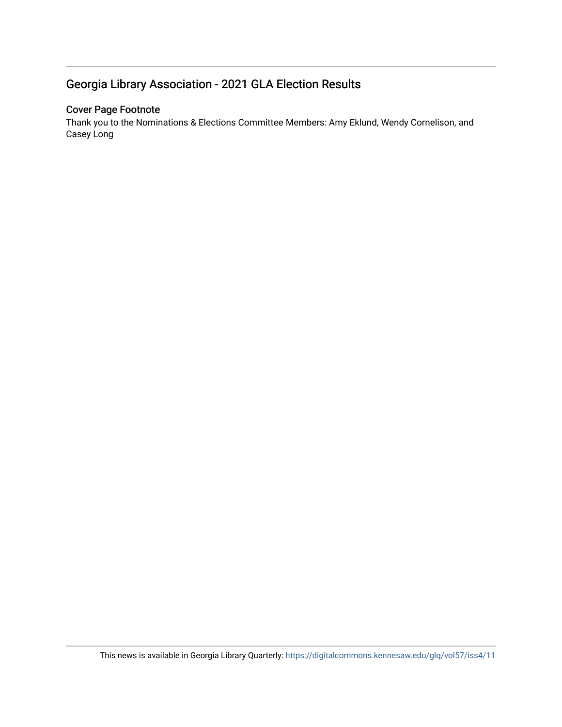## Georgia Library Association - 2021 GLA Election Results

### Cover Page Footnote

Thank you to the Nominations & Elections Committee Members: Amy Eklund, Wendy Cornelison, and Casey Long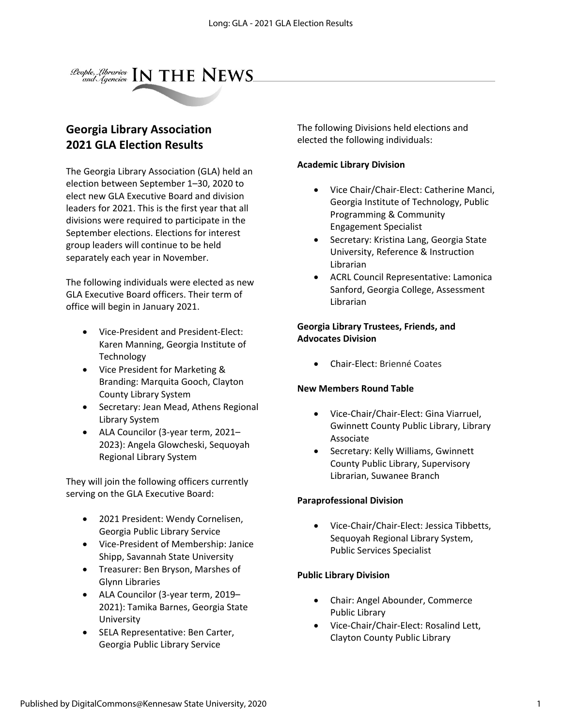

## **Georgia Library Association 2021 GLA Election Results**

The Georgia Library Association (GLA) held an election between September 1–30, 2020 to elect new GLA Executive Board and division leaders for 2021. This is the first year that all divisions were required to participate in the September elections. Elections for interest group leaders will continue to be held separately each year in November.

The following individuals were elected as new GLA Executive Board officers. Their term of office will begin in January 2021.

- Vice-President and President-Elect: Karen Manning, Georgia Institute of Technology
- Vice President for Marketing & Branding: Marquita Gooch, Clayton County Library System
- Secretary: Jean Mead, Athens Regional Library System
- ALA Councilor (3-year term, 2021– 2023): Angela Glowcheski, Sequoyah Regional Library System

They will join the following officers currently serving on the GLA Executive Board:

- 2021 President: Wendy Cornelisen, Georgia Public Library Service
- Vice-President of Membership: Janice Shipp, Savannah State University
- Treasurer: Ben Bryson, Marshes of Glynn Libraries
- ALA Councilor (3-year term, 2019– 2021): Tamika Barnes, Georgia State University
- SELA Representative: Ben Carter, Georgia Public Library Service

The following Divisions held elections and elected the following individuals:

#### **Academic Library Division**

- Vice Chair/Chair-Elect: Catherine Manci, Georgia Institute of Technology, Public Programming & Community Engagement Specialist
- Secretary: Kristina Lang, Georgia State University, Reference & Instruction Librarian
- ACRL Council Representative: Lamonica Sanford, Georgia College, Assessment Librarian

#### **Georgia Library Trustees, Friends, and Advocates Division**

• Chair-Elect: Brienné Coates

## **New Members Round Table**

- Vice-Chair/Chair-Elect: Gina Viarruel, Gwinnett County Public Library, Library Associate
- Secretary: Kelly Williams, Gwinnett County Public Library, Supervisory Librarian, Suwanee Branch

#### **Paraprofessional Division**

• Vice-Chair/Chair-Elect: Jessica Tibbetts, Sequoyah Regional Library System, Public Services Specialist

## **Public Library Division**

- Chair: Angel Abounder, Commerce Public Library
- Vice-Chair/Chair-Elect: Rosalind Lett, Clayton County Public Library